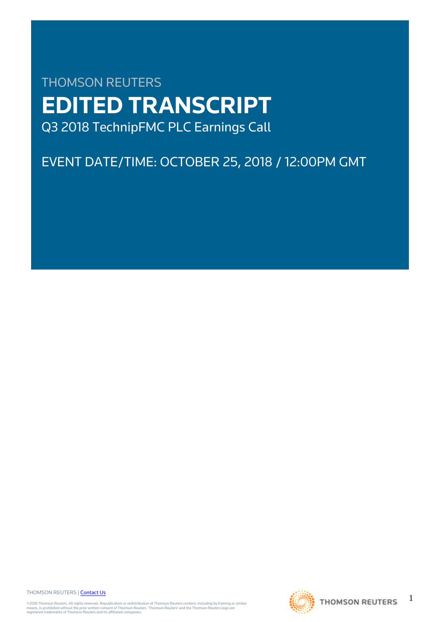# THOMSON REUTERS **EDITED TRANSCRIPT** Q3 2018 TechnipFMC PLC Earnings Call

# EVENT DATE/TIME: OCTOBER 25, 2018 / 12:00PM GMT

THOMSON REUTERS | [Contact Us](https://my.thomsonreuters.com/ContactUsNew)

©2018 Thomson Reuters. All rights reserved. Republication or redistribution of Thomson Reuters content, including by framing or similar<br>means, is prohibited without the prior written consent of Thomson Reuters. "Thomson Re



1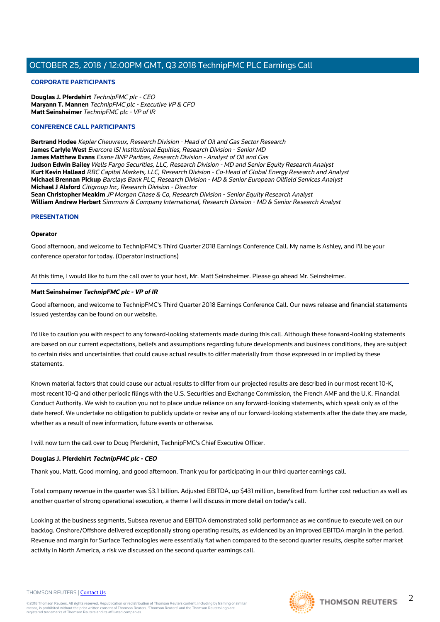#### **CORPORATE PARTICIPANTS**

**Douglas J. Pferdehirt** TechnipFMC plc - CEO **Maryann T. Mannen** TechnipFMC plc - Executive VP & CFO **Matt Seinsheimer** TechnipFMC plc - VP of IR

#### **CONFERENCE CALL PARTICIPANTS**

**Bertrand Hodee** Kepler Cheuvreux, Research Division - Head of Oil and Gas Sector Research **James Carlyle West** Evercore ISI Institutional Equities, Research Division - Senior MD **James Matthew Evans** Exane BNP Paribas, Research Division - Analyst of Oil and Gas **Judson Edwin Bailey** Wells Fargo Securities, LLC, Research Division - MD and Senior Equity Research Analyst **Kurt Kevin Hallead** RBC Capital Markets, LLC, Research Division - Co-Head of Global Energy Research and Analyst **Michael Brennan Pickup** Barclays Bank PLC, Research Division - MD & Senior European Oilfield Services Analyst **Michael J Alsford** Citigroup Inc, Research Division - Director **Sean Christopher Meakim** JP Morgan Chase & Co, Research Division - Senior Equity Research Analyst **William Andrew Herbert** Simmons & Company International, Research Division - MD & Senior Research Analyst

#### **PRESENTATION**

#### **Operator**

Good afternoon, and welcome to TechnipFMC's Third Quarter 2018 Earnings Conference Call. My name is Ashley, and I'll be your conference operator for today. (Operator Instructions)

At this time, I would like to turn the call over to your host, Mr. Matt Seinsheimer. Please go ahead Mr. Seinsheimer.

#### **Matt Seinsheimer TechnipFMC plc - VP of IR**

Good afternoon, and welcome to TechnipFMC's Third Quarter 2018 Earnings Conference Call. Our news release and financial statements issued yesterday can be found on our website.

I'd like to caution you with respect to any forward-looking statements made during this call. Although these forward-looking statements are based on our current expectations, beliefs and assumptions regarding future developments and business conditions, they are subject to certain risks and uncertainties that could cause actual results to differ materially from those expressed in or implied by these statements.

Known material factors that could cause our actual results to differ from our projected results are described in our most recent 10-K, most recent 10-Q and other periodic filings with the U.S. Securities and Exchange Commission, the French AMF and the U.K. Financial Conduct Authority. We wish to caution you not to place undue reliance on any forward-looking statements, which speak only as of the date hereof. We undertake no obligation to publicly update or revise any of our forward-looking statements after the date they are made, whether as a result of new information, future events or otherwise.

I will now turn the call over to Doug Pferdehirt, TechnipFMC's Chief Executive Officer.

#### **Douglas J. Pferdehirt TechnipFMC plc - CEO**

Thank you, Matt. Good morning, and good afternoon. Thank you for participating in our third quarter earnings call.

Total company revenue in the quarter was \$3.1 billion. Adjusted EBITDA, up \$431 million, benefited from further cost reduction as well as another quarter of strong operational execution, a theme I will discuss in more detail on today's call.

Looking at the business segments, Subsea revenue and EBITDA demonstrated solid performance as we continue to execute well on our backlog. Onshore/Offshore delivered exceptionally strong operating results, as evidenced by an improved EBITDA margin in the period. Revenue and margin for Surface Technologies were essentially flat when compared to the second quarter results, despite softer market activity in North America, a risk we discussed on the second quarter earnings call.

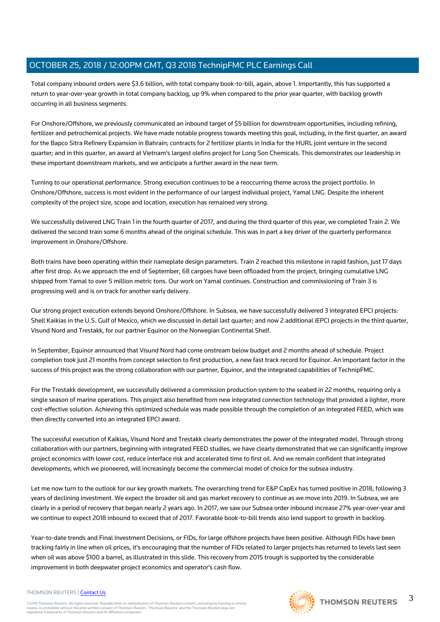Total company inbound orders were \$3.6 billion, with total company book-to-bill, again, above 1. Importantly, this has supported a return to year-over-year growth in total company backlog, up 9% when compared to the prior year quarter, with backlog growth occurring in all business segments.

For Onshore/Offshore, we previously communicated an inbound target of \$5 billion for downstream opportunities, including refining, fertilizer and petrochemical projects. We have made notable progress towards meeting this goal, including, in the first quarter, an award for the Bapco Sitra Refinery Expansion in Bahrain; contracts for 2 fertilizer plants in India for the HURL joint venture in the second quarter; and in this quarter, an award at Vietnam's largest olefins project for Long Son Chemicals. This demonstrates our leadership in these important downstream markets, and we anticipate a further award in the near term.

Turning to our operational performance. Strong execution continues to be a reoccurring theme across the project portfolio. In Onshore/Offshore, success is most evident in the performance of our largest individual project, Yamal LNG. Despite the inherent complexity of the project size, scope and location, execution has remained very strong.

We successfully delivered LNG Train 1 in the fourth quarter of 2017, and during the third quarter of this year, we completed Train 2. We delivered the second train some 6 months ahead of the original schedule. This was in part a key driver of the quarterly performance improvement in Onshore/Offshore.

Both trains have been operating within their nameplate design parameters. Train 2 reached this milestone in rapid fashion, just 17 days after first drop. As we approach the end of September, 68 cargoes have been offloaded from the project, bringing cumulative LNG shipped from Yamal to over 5 million metric tons. Our work on Yamal continues. Construction and commissioning of Train 3 is progressing well and is on track for another early delivery.

Our strong project execution extends beyond Onshore/Offshore. In Subsea, we have successfully delivered 3 integrated EPCI projects: Shell Kaikias in the U.S. Gulf of Mexico, which we discussed in detail last quarter; and now 2 additional iEPCI projects in the third quarter, Visund Nord and Trestakk, for our partner Equinor on the Norwegian Continental Shelf.

In September, Equinor announced that Visund Nord had come onstream below budget and 2 months ahead of schedule. Project completion took just 21 months from concept selection to first production, a new fast track record for Equinor. An important factor in the success of this project was the strong collaboration with our partner, Equinor, and the integrated capabilities of TechnipFMC.

For the Trestakk development, we successfully delivered a commission production system to the seabed in 22 months, requiring only a single season of marine operations. This project also benefited from new integrated connection technology that provided a lighter, more cost-effective solution. Achieving this optimized schedule was made possible through the completion of an integrated FEED, which was then directly converted into an integrated EPCI award.

The successful execution of Kaikias, Visund Nord and Trestakk clearly demonstrates the power of the integrated model. Through strong collaboration with our partners, beginning with integrated FEED studies, we have clearly demonstrated that we can significantly improve project economics with lower cost, reduce interface risk and accelerated time to first oil. And we remain confident that integrated developments, which we pioneered, will increasingly become the commercial model of choice for the subsea industry.

Let me now turn to the outlook for our key growth markets. The overarching trend for E&P CapEx has turned positive in 2018, following 3 years of declining investment. We expect the broader oil and gas market recovery to continue as we move into 2019. In Subsea, we are clearly in a period of recovery that began nearly 2 years ago. In 2017, we saw our Subsea order inbound increase 27% year-over-year and we continue to expect 2018 inbound to exceed that of 2017. Favorable book-to-bill trends also lend support to growth in backlog.

Year-to-date trends and Final Investment Decisions, or FIDs, for large offshore projects have been positive. Although FIDs have been tracking fairly in line when oil prices, it's encouraging that the number of FIDs related to larger projects has returned to levels last seen when oil was above \$100 a barrel, as illustrated in this slide. This recovery from 2015 trough is supported by the considerable improvement in both deepwater project economics and operator's cash flow.

#### THOMSON REUTERS | [Contact Us](https://my.thomsonreuters.com/ContactUsNew)

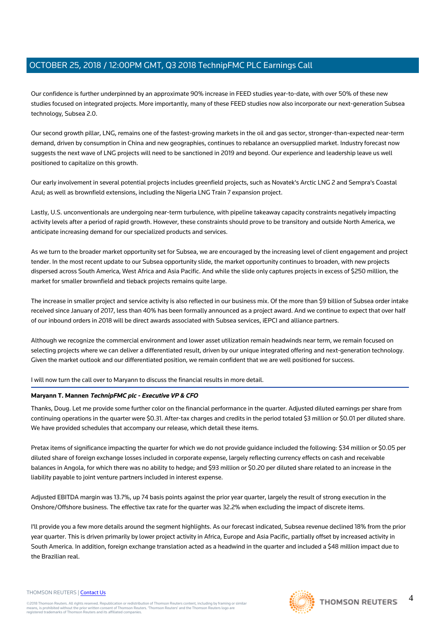Our confidence is further underpinned by an approximate 90% increase in FEED studies year-to-date, with over 50% of these new studies focused on integrated projects. More importantly, many of these FEED studies now also incorporate our next-generation Subsea technology, Subsea 2.0.

Our second growth pillar, LNG, remains one of the fastest-growing markets in the oil and gas sector, stronger-than-expected near-term demand, driven by consumption in China and new geographies, continues to rebalance an oversupplied market. Industry forecast now suggests the next wave of LNG projects will need to be sanctioned in 2019 and beyond. Our experience and leadership leave us well positioned to capitalize on this growth.

Our early involvement in several potential projects includes greenfield projects, such as Novatek's Arctic LNG 2 and Sempra's Coastal Azul; as well as brownfield extensions, including the Nigeria LNG Train 7 expansion project.

Lastly, U.S. unconventionals are undergoing near-term turbulence, with pipeline takeaway capacity constraints negatively impacting activity levels after a period of rapid growth. However, these constraints should prove to be transitory and outside North America, we anticipate increasing demand for our specialized products and services.

As we turn to the broader market opportunity set for Subsea, we are encouraged by the increasing level of client engagement and project tender. In the most recent update to our Subsea opportunity slide, the market opportunity continues to broaden, with new projects dispersed across South America, West Africa and Asia Pacific. And while the slide only captures projects in excess of \$250 million, the market for smaller brownfield and tieback projects remains quite large.

The increase in smaller project and service activity is also reflected in our business mix. Of the more than \$9 billion of Subsea order intake received since January of 2017, less than 40% has been formally announced as a project award. And we continue to expect that over half of our inbound orders in 2018 will be direct awards associated with Subsea services, iEPCI and alliance partners.

Although we recognize the commercial environment and lower asset utilization remain headwinds near term, we remain focused on selecting projects where we can deliver a differentiated result, driven by our unique integrated offering and next-generation technology. Given the market outlook and our differentiated position, we remain confident that we are well positioned for success.

I will now turn the call over to Maryann to discuss the financial results in more detail.

## **Maryann T. Mannen TechnipFMC plc - Executive VP & CFO**

Thanks, Doug. Let me provide some further color on the financial performance in the quarter. Adjusted diluted earnings per share from continuing operations in the quarter were \$0.31. After-tax charges and credits in the period totaled \$3 million or \$0.01 per diluted share. We have provided schedules that accompany our release, which detail these items.

Pretax items of significance impacting the quarter for which we do not provide guidance included the following: \$34 million or \$0.05 per diluted share of foreign exchange losses included in corporate expense, largely reflecting currency effects on cash and receivable balances in Angola, for which there was no ability to hedge; and \$93 million or \$0.20 per diluted share related to an increase in the liability payable to joint venture partners included in interest expense.

Adjusted EBITDA margin was 13.7%, up 74 basis points against the prior year quarter, largely the result of strong execution in the Onshore/Offshore business. The effective tax rate for the quarter was 32.2% when excluding the impact of discrete items.

I'll provide you a few more details around the segment highlights. As our forecast indicated, Subsea revenue declined 18% from the prior year quarter. This is driven primarily by lower project activity in Africa, Europe and Asia Pacific, partially offset by increased activity in South America. In addition, foreign exchange translation acted as a headwind in the quarter and included a \$48 million impact due to the Brazilian real.

#### THOMSON REUTERS | [Contact Us](https://my.thomsonreuters.com/ContactUsNew)

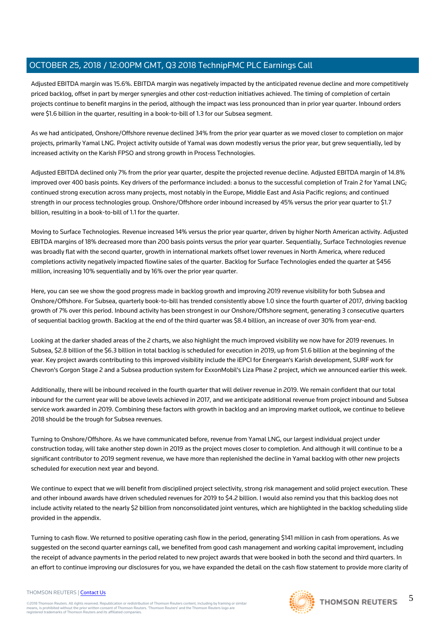Adjusted EBITDA margin was 15.6%. EBITDA margin was negatively impacted by the anticipated revenue decline and more competitively priced backlog, offset in part by merger synergies and other cost-reduction initiatives achieved. The timing of completion of certain projects continue to benefit margins in the period, although the impact was less pronounced than in prior year quarter. Inbound orders were \$1.6 billion in the quarter, resulting in a book-to-bill of 1.3 for our Subsea segment.

As we had anticipated, Onshore/Offshore revenue declined 34% from the prior year quarter as we moved closer to completion on major projects, primarily Yamal LNG. Project activity outside of Yamal was down modestly versus the prior year, but grew sequentially, led by increased activity on the Karish FPSO and strong growth in Process Technologies.

Adjusted EBITDA declined only 7% from the prior year quarter, despite the projected revenue decline. Adjusted EBITDA margin of 14.8% improved over 400 basis points. Key drivers of the performance included: a bonus to the successful completion of Train 2 for Yamal LNG; continued strong execution across many projects, most notably in the Europe, Middle East and Asia Pacific regions; and continued strength in our process technologies group. Onshore/Offshore order inbound increased by 45% versus the prior year quarter to \$1.7 billion, resulting in a book-to-bill of 1.1 for the quarter.

Moving to Surface Technologies. Revenue increased 14% versus the prior year quarter, driven by higher North American activity. Adjusted EBITDA margins of 18% decreased more than 200 basis points versus the prior year quarter. Sequentially, Surface Technologies revenue was broadly flat with the second quarter, growth in international markets offset lower revenues in North America, where reduced completions activity negatively impacted flowline sales of the quarter. Backlog for Surface Technologies ended the quarter at \$456 million, increasing 10% sequentially and by 16% over the prior year quarter.

Here, you can see we show the good progress made in backlog growth and improving 2019 revenue visibility for both Subsea and Onshore/Offshore. For Subsea, quarterly book-to-bill has trended consistently above 1.0 since the fourth quarter of 2017, driving backlog growth of 7% over this period. Inbound activity has been strongest in our Onshore/Offshore segment, generating 3 consecutive quarters of sequential backlog growth. Backlog at the end of the third quarter was \$8.4 billion, an increase of over 30% from year-end.

Looking at the darker shaded areas of the 2 charts, we also highlight the much improved visibility we now have for 2019 revenues. In Subsea, \$2.8 billion of the \$6.3 billion in total backlog is scheduled for execution in 2019, up from \$1.6 billion at the beginning of the year. Key project awards contributing to this improved visibility include the iEPCI for Energean's Karish development, SURF work for Chevron's Gorgon Stage 2 and a Subsea production system for ExxonMobil's Liza Phase 2 project, which we announced earlier this week.

Additionally, there will be inbound received in the fourth quarter that will deliver revenue in 2019. We remain confident that our total inbound for the current year will be above levels achieved in 2017, and we anticipate additional revenue from project inbound and Subsea service work awarded in 2019. Combining these factors with growth in backlog and an improving market outlook, we continue to believe 2018 should be the trough for Subsea revenues.

Turning to Onshore/Offshore. As we have communicated before, revenue from Yamal LNG, our largest individual project under construction today, will take another step down in 2019 as the project moves closer to completion. And although it will continue to be a significant contributor to 2019 segment revenue, we have more than replenished the decline in Yamal backlog with other new projects scheduled for execution next year and beyond.

We continue to expect that we will benefit from disciplined project selectivity, strong risk management and solid project execution. These and other inbound awards have driven scheduled revenues for 2019 to \$4.2 billion. I would also remind you that this backlog does not include activity related to the nearly \$2 billion from nonconsolidated joint ventures, which are highlighted in the backlog scheduling slide provided in the appendix.

Turning to cash flow. We returned to positive operating cash flow in the period, generating \$141 million in cash from operations. As we suggested on the second quarter earnings call, we benefited from good cash management and working capital improvement, including the receipt of advance payments in the period related to new project awards that were booked in both the second and third quarters. In an effort to continue improving our disclosures for you, we have expanded the detail on the cash flow statement to provide more clarity of

#### THOMSON REUTERS | [Contact Us](https://my.thomsonreuters.com/ContactUsNew)

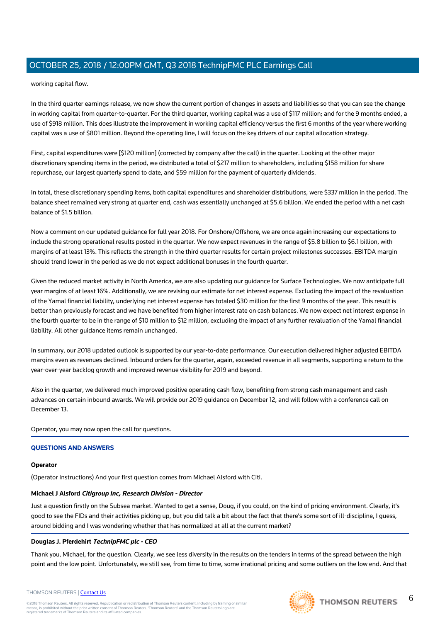working capital flow.

In the third quarter earnings release, we now show the current portion of changes in assets and liabilities so that you can see the change in working capital from quarter-to-quarter. For the third quarter, working capital was a use of \$117 million; and for the 9 months ended, a use of \$918 million. This does illustrate the improvement in working capital efficiency versus the first 6 months of the year where working capital was a use of \$801 million. Beyond the operating line, I will focus on the key drivers of our capital allocation strategy.

First, capital expenditures were [\$120 million] (corrected by company after the call) in the quarter. Looking at the other major discretionary spending items in the period, we distributed a total of \$217 million to shareholders, including \$158 million for share repurchase, our largest quarterly spend to date, and \$59 million for the payment of quarterly dividends.

In total, these discretionary spending items, both capital expenditures and shareholder distributions, were \$337 million in the period. The balance sheet remained very strong at quarter end, cash was essentially unchanged at \$5.6 billion. We ended the period with a net cash balance of \$1.5 billion.

Now a comment on our updated guidance for full year 2018. For Onshore/Offshore, we are once again increasing our expectations to include the strong operational results posted in the quarter. We now expect revenues in the range of \$5.8 billion to \$6.1 billion, with margins of at least 13%. This reflects the strength in the third quarter results for certain project milestones successes. EBITDA margin should trend lower in the period as we do not expect additional bonuses in the fourth quarter.

Given the reduced market activity in North America, we are also updating our guidance for Surface Technologies. We now anticipate full year margins of at least 16%. Additionally, we are revising our estimate for net interest expense. Excluding the impact of the revaluation of the Yamal financial liability, underlying net interest expense has totaled \$30 million for the first 9 months of the year. This result is better than previously forecast and we have benefited from higher interest rate on cash balances. We now expect net interest expense in the fourth quarter to be in the range of \$10 million to \$12 million, excluding the impact of any further revaluation of the Yamal financial liability. All other guidance items remain unchanged.

In summary, our 2018 updated outlook is supported by our year-to-date performance. Our execution delivered higher adjusted EBITDA margins even as revenues declined. Inbound orders for the quarter, again, exceeded revenue in all segments, supporting a return to the year-over-year backlog growth and improved revenue visibility for 2019 and beyond.

Also in the quarter, we delivered much improved positive operating cash flow, benefiting from strong cash management and cash advances on certain inbound awards. We will provide our 2019 guidance on December 12, and will follow with a conference call on December 13.

Operator, you may now open the call for questions.

## **QUESTIONS AND ANSWERS**

#### **Operator**

(Operator Instructions) And your first question comes from Michael Alsford with Citi.

#### **Michael J Alsford Citigroup Inc, Research Division - Director**

Just a question firstly on the Subsea market. Wanted to get a sense, Doug, if you could, on the kind of pricing environment. Clearly, it's good to see the FIDs and their activities picking up, but you did talk a bit about the fact that there's some sort of ill-discipline, I guess, around bidding and I was wondering whether that has normalized at all at the current market?

#### **Douglas J. Pferdehirt TechnipFMC plc - CEO**

Thank you, Michael, for the question. Clearly, we see less diversity in the results on the tenders in terms of the spread between the high point and the low point. Unfortunately, we still see, from time to time, some irrational pricing and some outliers on the low end. And that

#### THOMSON REUTERS | [Contact Us](https://my.thomsonreuters.com/ContactUsNew)

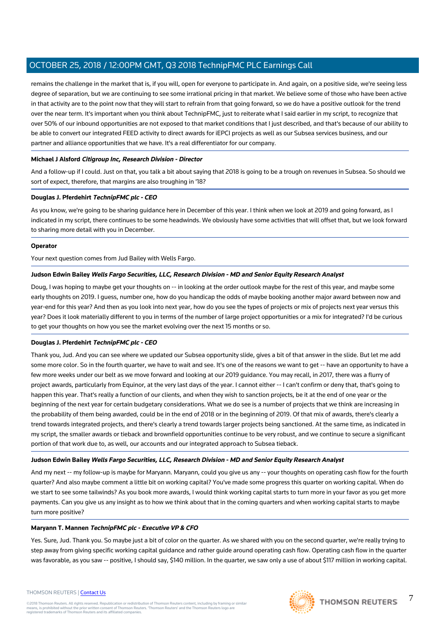remains the challenge in the market that is, if you will, open for everyone to participate in. And again, on a positive side, we're seeing less degree of separation, but we are continuing to see some irrational pricing in that market. We believe some of those who have been active in that activity are to the point now that they will start to refrain from that going forward, so we do have a positive outlook for the trend over the near term. It's important when you think about TechnipFMC, just to reiterate what I said earlier in my script, to recognize that over 50% of our inbound opportunities are not exposed to that market conditions that I just described, and that's because of our ability to be able to convert our integrated FEED activity to direct awards for iEPCI projects as well as our Subsea services business, and our partner and alliance opportunities that we have. It's a real differentiator for our company.

## **Michael J Alsford Citigroup Inc, Research Division - Director**

And a follow-up if I could. Just on that, you talk a bit about saying that 2018 is going to be a trough on revenues in Subsea. So should we sort of expect, therefore, that margins are also troughing in '18?

## **Douglas J. Pferdehirt TechnipFMC plc - CEO**

As you know, we're going to be sharing guidance here in December of this year. I think when we look at 2019 and going forward, as I indicated in my script, there continues to be some headwinds. We obviously have some activities that will offset that, but we look forward to sharing more detail with you in December.

#### **Operator**

Your next question comes from Jud Bailey with Wells Fargo.

## **Judson Edwin Bailey Wells Fargo Securities, LLC, Research Division - MD and Senior Equity Research Analyst**

Doug, I was hoping to maybe get your thoughts on -- in looking at the order outlook maybe for the rest of this year, and maybe some early thoughts on 2019. I guess, number one, how do you handicap the odds of maybe booking another major award between now and year-end for this year? And then as you look into next year, how do you see the types of projects or mix of projects next year versus this year? Does it look materially different to you in terms of the number of large project opportunities or a mix for integrated? I'd be curious to get your thoughts on how you see the market evolving over the next 15 months or so.

#### **Douglas J. Pferdehirt TechnipFMC plc - CEO**

Thank you, Jud. And you can see where we updated our Subsea opportunity slide, gives a bit of that answer in the slide. But let me add some more color. So in the fourth quarter, we have to wait and see. It's one of the reasons we want to get -- have an opportunity to have a few more weeks under our belt as we move forward and looking at our 2019 guidance. You may recall, in 2017, there was a flurry of project awards, particularly from Equinor, at the very last days of the year. I cannot either -- I can't confirm or deny that, that's going to happen this year. That's really a function of our clients, and when they wish to sanction projects, be it at the end of one year or the beginning of the next year for certain budgetary considerations. What we do see is a number of projects that we think are increasing in the probability of them being awarded, could be in the end of 2018 or in the beginning of 2019. Of that mix of awards, there's clearly a trend towards integrated projects, and there's clearly a trend towards larger projects being sanctioned. At the same time, as indicated in my script, the smaller awards or tieback and brownfield opportunities continue to be very robust, and we continue to secure a significant portion of that work due to, as well, our accounts and our integrated approach to Subsea tieback.

#### **Judson Edwin Bailey Wells Fargo Securities, LLC, Research Division - MD and Senior Equity Research Analyst**

And my next -- my follow-up is maybe for Maryann. Maryann, could you give us any -- your thoughts on operating cash flow for the fourth quarter? And also maybe comment a little bit on working capital? You've made some progress this quarter on working capital. When do we start to see some tailwinds? As you book more awards, I would think working capital starts to turn more in your favor as you get more payments. Can you give us any insight as to how we think about that in the coming quarters and when working capital starts to maybe turn more positive?

#### **Maryann T. Mannen TechnipFMC plc - Executive VP & CFO**

Yes. Sure, Jud. Thank you. So maybe just a bit of color on the quarter. As we shared with you on the second quarter, we're really trying to step away from giving specific working capital guidance and rather guide around operating cash flow. Operating cash flow in the quarter was favorable, as you saw -- positive, I should say, \$140 million. In the quarter, we saw only a use of about \$117 million in working capital.

#### THOMSON REUTERS | [Contact Us](https://my.thomsonreuters.com/ContactUsNew)

©2018 Thomson Reuters. All rights reserved. Republication or redistribution of Thomson Reuters content, including by framing or similar<br>means, is prohibited without the prior written consent of Thomson Reuters. "Thomson Re



7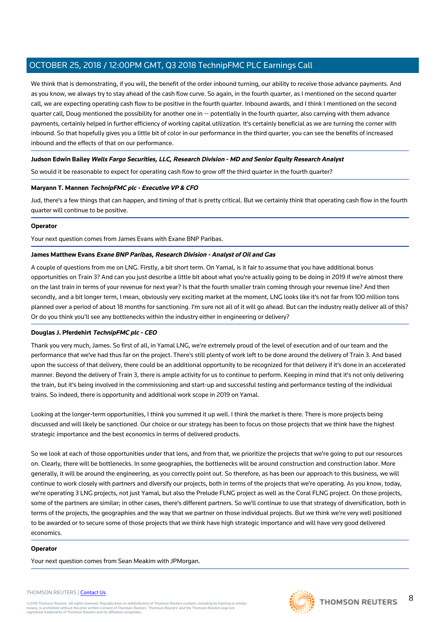We think that is demonstrating, if you will, the benefit of the order inbound turning, our ability to receive those advance payments. And as you know, we always try to stay ahead of the cash flow curve. So again, in the fourth quarter, as I mentioned on the second quarter call, we are expecting operating cash flow to be positive in the fourth quarter. Inbound awards, and I think I mentioned on the second quarter call, Doug mentioned the possibility for another one in -- potentially in the fourth quarter, also carrying with them advance payments, certainly helped in further efficiency of working capital utilization. It's certainly beneficial as we are turning the corner with inbound. So that hopefully gives you a little bit of color in our performance in the third quarter, you can see the benefits of increased inbound and the effects of that on our performance.

## **Judson Edwin Bailey Wells Fargo Securities, LLC, Research Division - MD and Senior Equity Research Analyst**

So would it be reasonable to expect for operating cash flow to grow off the third quarter in the fourth quarter?

## **Maryann T. Mannen TechnipFMC plc - Executive VP & CFO**

Jud, there's a few things that can happen, and timing of that is pretty critical. But we certainly think that operating cash flow in the fourth quarter will continue to be positive.

## **Operator**

Your next question comes from James Evans with Exane BNP Paribas.

## **James Matthew Evans Exane BNP Paribas, Research Division - Analyst of Oil and Gas**

A couple of questions from me on LNG. Firstly, a bit short term. On Yamal, is it fair to assume that you have additional bonus opportunities on Train 3? And can you just describe a little bit about what you're actually going to be doing in 2019 if we're almost there on the last train in terms of your revenue for next year? Is that the fourth smaller train coming through your revenue line? And then secondly, and a bit longer term, I mean, obviously very exciting market at the moment, LNG looks like it's not far from 100 million tons planned over a period of about 18 months for sanctioning. I'm sure not all of it will go ahead. But can the industry really deliver all of this? Or do you think you'll see any bottlenecks within the industry either in engineering or delivery?

## **Douglas J. Pferdehirt TechnipFMC plc - CEO**

Thank you very much, James. So first of all, in Yamal LNG, we're extremely proud of the level of execution and of our team and the performance that we've had thus far on the project. There's still plenty of work left to be done around the delivery of Train 3. And based upon the success of that delivery, there could be an additional opportunity to be recognized for that delivery if it's done in an accelerated manner. Beyond the delivery of Train 3, there is ample activity for us to continue to perform. Keeping in mind that it's not only delivering the train, but it's being involved in the commissioning and start-up and successful testing and performance testing of the individual trains. So indeed, there is opportunity and additional work scope in 2019 on Yamal.

Looking at the longer-term opportunities, I think you summed it up well. I think the market is there. There is more projects being discussed and will likely be sanctioned. Our choice or our strategy has been to focus on those projects that we think have the highest strategic importance and the best economics in terms of delivered products.

So we look at each of those opportunities under that lens, and from that, we prioritize the projects that we're going to put our resources on. Clearly, there will be bottlenecks. In some geographies, the bottlenecks will be around construction and construction labor. More generally, it will be around the engineering, as you correctly point out. So therefore, as has been our approach to this business, we will continue to work closely with partners and diversify our projects, both in terms of the projects that we're operating. As you know, today, we're operating 3 LNG projects, not just Yamal, but also the Prelude FLNG project as well as the Coral FLNG project. On those projects, some of the partners are similar; in other cases, there's different partners. So we'll continue to use that strategy of diversification, both in terms of the projects, the geographies and the way that we partner on those individual projects. But we think we're very well positioned to be awarded or to secure some of those projects that we think have high strategic importance and will have very good delivered economics.

#### **Operator**

Your next question comes from Sean Meakim with JPMorgan.

#### THOMSON REUTERS | [Contact Us](https://my.thomsonreuters.com/ContactUsNew)

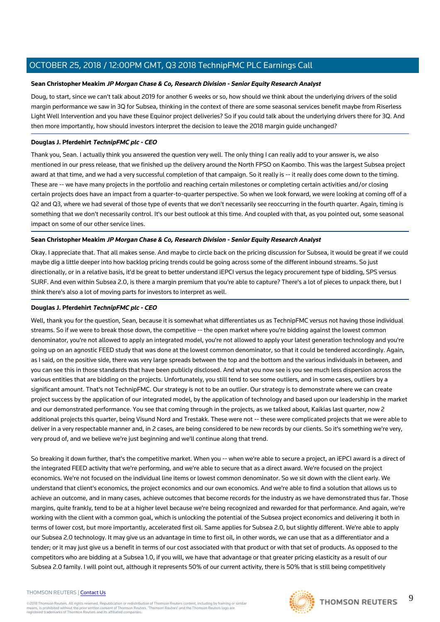#### **Sean Christopher Meakim JP Morgan Chase & Co, Research Division - Senior Equity Research Analyst**

Doug, to start, since we can't talk about 2019 for another 6 weeks or so, how should we think about the underlying drivers of the solid margin performance we saw in 3Q for Subsea, thinking in the context of there are some seasonal services benefit maybe from Riserless Light Well Intervention and you have these Equinor project deliveries? So if you could talk about the underlying drivers there for 3Q. And then more importantly, how should investors interpret the decision to leave the 2018 margin guide unchanged?

#### **Douglas J. Pferdehirt TechnipFMC plc - CEO**

Thank you, Sean. I actually think you answered the question very well. The only thing I can really add to your answer is, we also mentioned in our press release, that we finished up the delivery around the North FPSO on Kaombo. This was the largest Subsea project award at that time, and we had a very successful completion of that campaign. So it really is -- it really does come down to the timing. These are -- we have many projects in the portfolio and reaching certain milestones or completing certain activities and/or closing certain projects does have an impact from a quarter-to-quarter perspective. So when we look forward, we were looking at coming off of a Q2 and Q3, where we had several of those type of events that we don't necessarily see reoccurring in the fourth quarter. Again, timing is something that we don't necessarily control. It's our best outlook at this time. And coupled with that, as you pointed out, some seasonal impact on some of our other service lines.

## **Sean Christopher Meakim JP Morgan Chase & Co, Research Division - Senior Equity Research Analyst**

Okay. I appreciate that. That all makes sense. And maybe to circle back on the pricing discussion for Subsea, it would be great if we could maybe dig a little deeper into how backlog pricing trends could be going across some of the different inbound streams. So just directionally, or in a relative basis, it'd be great to better understand iEPCI versus the legacy procurement type of bidding, SPS versus SURF. And even within Subsea 2.0, is there a margin premium that you're able to capture? There's a lot of pieces to unpack there, but I think there's also a lot of moving parts for investors to interpret as well.

#### **Douglas J. Pferdehirt TechnipFMC plc - CEO**

Well, thank you for the question, Sean, because it is somewhat what differentiates us as TechnipFMC versus not having those individual streams. So if we were to break those down, the competitive -- the open market where you're bidding against the lowest common denominator, you're not allowed to apply an integrated model, you're not allowed to apply your latest generation technology and you're going up on an agnostic FEED study that was done at the lowest common denominator, so that it could be tendered accordingly. Again, as I said, on the positive side, there was very large spreads between the top and the bottom and the various individuals in between, and you can see this in those standards that have been publicly disclosed. And what you now see is you see much less dispersion across the various entities that are bidding on the projects. Unfortunately, you still tend to see some outliers, and in some cases, outliers by a significant amount. That's not TechnipFMC. Our strategy is not to be an outlier. Our strategy is to demonstrate where we can create project success by the application of our integrated model, by the application of technology and based upon our leadership in the market and our demonstrated performance. You see that coming through in the projects, as we talked about, Kaikias last quarter, now 2 additional projects this quarter, being Visund Nord and Trestakk. These were not -- these were complicated projects that we were able to deliver in a very respectable manner and, in 2 cases, are being considered to be new records by our clients. So it's something we're very, very proud of, and we believe we're just beginning and we'll continue along that trend.

So breaking it down further, that's the competitive market. When you -- when we're able to secure a project, an iEPCI award is a direct of the integrated FEED activity that we're performing, and we're able to secure that as a direct award. We're focused on the project economics. We're not focused on the individual line items or lowest common denominator. So we sit down with the client early. We understand that client's economics, the project economics and our own economics. And we're able to find a solution that allows us to achieve an outcome, and in many cases, achieve outcomes that become records for the industry as we have demonstrated thus far. Those margins, quite frankly, tend to be at a higher level because we're being recognized and rewarded for that performance. And again, we're working with the client with a common goal, which is unlocking the potential of the Subsea project economics and delivering it both in terms of lower cost, but more importantly, accelerated first oil. Same applies for Subsea 2.0, but slightly different. We're able to apply our Subsea 2.0 technology. It may give us an advantage in time to first oil, in other words, we can use that as a differentiator and a tender; or it may just give us a benefit in terms of our cost associated with that product or with that set of products. As opposed to the competitors who are bidding at a Subsea 1.0, if you will, we have that advantage or that greater pricing elasticity as a result of our Subsea 2.0 family. I will point out, although it represents 50% of our current activity, there is 50% that is still being competitively

#### THOMSON REUTERS | [Contact Us](https://my.thomsonreuters.com/ContactUsNew)

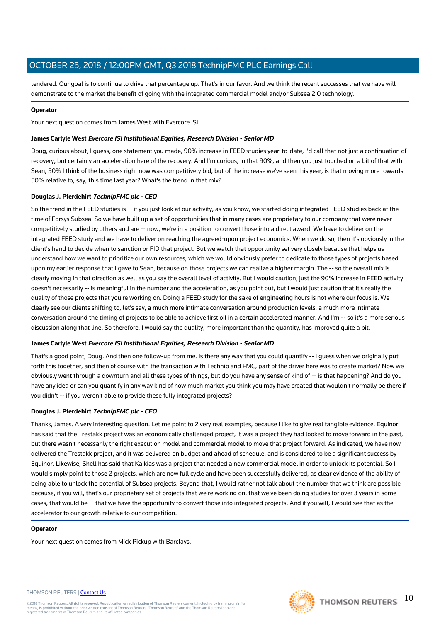tendered. Our goal is to continue to drive that percentage up. That's in our favor. And we think the recent successes that we have will demonstrate to the market the benefit of going with the integrated commercial model and/or Subsea 2.0 technology.

#### **Operator**

Your next question comes from James West with Evercore ISI.

#### **James Carlyle West Evercore ISI Institutional Equities, Research Division - Senior MD**

Doug, curious about, I guess, one statement you made, 90% increase in FEED studies year-to-date, I'd call that not just a continuation of recovery, but certainly an acceleration here of the recovery. And I'm curious, in that 90%, and then you just touched on a bit of that with Sean, 50% I think of the business right now was competitively bid, but of the increase we've seen this year, is that moving more towards 50% relative to, say, this time last year? What's the trend in that mix?

## **Douglas J. Pferdehirt TechnipFMC plc - CEO**

So the trend in the FEED studies is -- if you just look at our activity, as you know, we started doing integrated FEED studies back at the time of Forsys Subsea. So we have built up a set of opportunities that in many cases are proprietary to our company that were never competitively studied by others and are -- now, we're in a position to convert those into a direct award. We have to deliver on the integrated FEED study and we have to deliver on reaching the agreed-upon project economics. When we do so, then it's obviously in the client's hand to decide when to sanction or FID that project. But we watch that opportunity set very closely because that helps us understand how we want to prioritize our own resources, which we would obviously prefer to dedicate to those types of projects based upon my earlier response that I gave to Sean, because on those projects we can realize a higher margin. The -- so the overall mix is clearly moving in that direction as well as you say the overall level of activity. But I would caution, just the 90% increase in FEED activity doesn't necessarily -- is meaningful in the number and the acceleration, as you point out, but I would just caution that it's really the quality of those projects that you're working on. Doing a FEED study for the sake of engineering hours is not where our focus is. We clearly see our clients shifting to, let's say, a much more intimate conversation around production levels, a much more intimate conversation around the timing of projects to be able to achieve first oil in a certain accelerated manner. And I'm -- so it's a more serious discussion along that line. So therefore, I would say the quality, more important than the quantity, has improved quite a bit.

#### **James Carlyle West Evercore ISI Institutional Equities, Research Division - Senior MD**

That's a good point, Doug. And then one follow-up from me. Is there any way that you could quantify -- I guess when we originally put forth this together, and then of course with the transaction with Technip and FMC, part of the driver here was to create market? Now we obviously went through a downturn and all these types of things, but do you have any sense of kind of -- is that happening? And do you have any idea or can you quantify in any way kind of how much market you think you may have created that wouldn't normally be there if you didn't -- if you weren't able to provide these fully integrated projects?

## **Douglas J. Pferdehirt TechnipFMC plc - CEO**

Thanks, James. A very interesting question. Let me point to 2 very real examples, because I like to give real tangible evidence. Equinor has said that the Trestakk project was an economically challenged project, it was a project they had looked to move forward in the past, but there wasn't necessarily the right execution model and commercial model to move that project forward. As indicated, we have now delivered the Trestakk project, and it was delivered on budget and ahead of schedule, and is considered to be a significant success by Equinor. Likewise, Shell has said that Kaikias was a project that needed a new commercial model in order to unlock its potential. So I would simply point to those 2 projects, which are now full cycle and have been successfully delivered, as clear evidence of the ability of being able to unlock the potential of Subsea projects. Beyond that, I would rather not talk about the number that we think are possible because, if you will, that's our proprietary set of projects that we're working on, that we've been doing studies for over 3 years in some cases, that would be -- that we have the opportunity to convert those into integrated projects. And if you will, I would see that as the accelerator to our growth relative to our competition.

#### **Operator**

Your next question comes from Mick Pickup with Barclays.

#### THOMSON REUTERS | [Contact Us](https://my.thomsonreuters.com/ContactUsNew)

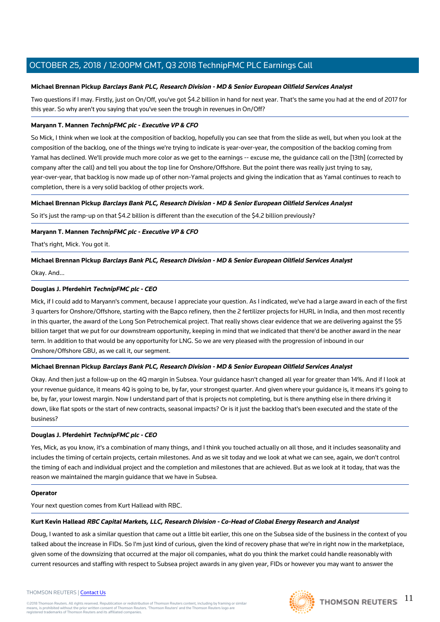## **Michael Brennan Pickup Barclays Bank PLC, Research Division - MD & Senior European Oilfield Services Analyst**

Two questions if I may. Firstly, just on On/Off, you've got \$4.2 billion in hand for next year. That's the same you had at the end of 2017 for this year. So why aren't you saying that you've seen the trough in revenues in On/Off?

#### **Maryann T. Mannen TechnipFMC plc - Executive VP & CFO**

So Mick, I think when we look at the composition of backlog, hopefully you can see that from the slide as well, but when you look at the composition of the backlog, one of the things we're trying to indicate is year-over-year, the composition of the backlog coming from Yamal has declined. We'll provide much more color as we get to the earnings -- excuse me, the guidance call on the [13th] (corrected by company after the call) and tell you about the top line for Onshore/Offshore. But the point there was really just trying to say, year-over-year, that backlog is now made up of other non-Yamal projects and giving the indication that as Yamal continues to reach to completion, there is a very solid backlog of other projects work.

## **Michael Brennan Pickup Barclays Bank PLC, Research Division - MD & Senior European Oilfield Services Analyst**

So it's just the ramp-up on that \$4.2 billion is different than the execution of the \$4.2 billion previously?

## **Maryann T. Mannen TechnipFMC plc - Executive VP & CFO**

That's right, Mick. You got it.

## **Michael Brennan Pickup Barclays Bank PLC, Research Division - MD & Senior European Oilfield Services Analyst**

#### Okay. And...

## **Douglas J. Pferdehirt TechnipFMC plc - CEO**

Mick, if I could add to Maryann's comment, because I appreciate your question. As I indicated, we've had a large award in each of the first 3 quarters for Onshore/Offshore, starting with the Bapco refinery, then the 2 fertilizer projects for HURL in India, and then most recently in this quarter, the award of the Long Son Petrochemical project. That really shows clear evidence that we are delivering against the \$5 billion target that we put for our downstream opportunity, keeping in mind that we indicated that there'd be another award in the near term. In addition to that would be any opportunity for LNG. So we are very pleased with the progression of inbound in our Onshore/Offshore GBU, as we call it, our segment.

#### **Michael Brennan Pickup Barclays Bank PLC, Research Division - MD & Senior European Oilfield Services Analyst**

Okay. And then just a follow-up on the 4Q margin in Subsea. Your guidance hasn't changed all year for greater than 14%. And if I look at your revenue guidance, it means 4Q is going to be, by far, your strongest quarter. And given where your guidance is, it means it's going to be, by far, your lowest margin. Now I understand part of that is projects not completing, but is there anything else in there driving it down, like flat spots or the start of new contracts, seasonal impacts? Or is it just the backlog that's been executed and the state of the business?

#### **Douglas J. Pferdehirt TechnipFMC plc - CEO**

Yes, Mick, as you know, it's a combination of many things, and I think you touched actually on all those, and it includes seasonality and includes the timing of certain projects, certain milestones. And as we sit today and we look at what we can see, again, we don't control the timing of each and individual project and the completion and milestones that are achieved. But as we look at it today, that was the reason we maintained the margin guidance that we have in Subsea.

#### **Operator**

Your next question comes from Kurt Hallead with RBC.

#### **Kurt Kevin Hallead RBC Capital Markets, LLC, Research Division - Co-Head of Global Energy Research and Analyst**

Doug, I wanted to ask a similar question that came out a little bit earlier, this one on the Subsea side of the business in the context of you talked about the increase in FIDs. So I'm just kind of curious, given the kind of recovery phase that we're in right now in the marketplace, given some of the downsizing that occurred at the major oil companies, what do you think the market could handle reasonably with current resources and staffing with respect to Subsea project awards in any given year, FIDs or however you may want to answer the

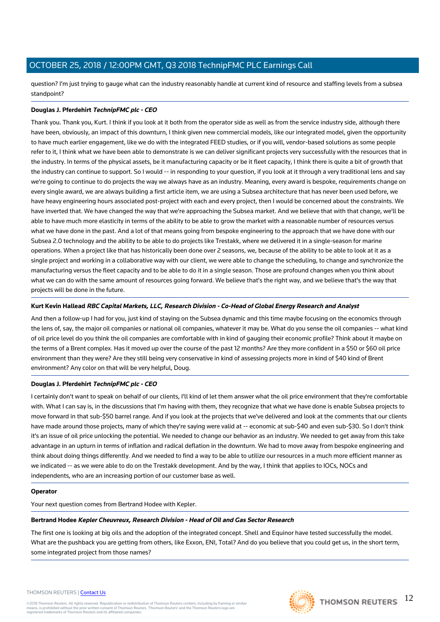question? I'm just trying to gauge what can the industry reasonably handle at current kind of resource and staffing levels from a subsea standpoint?

## **Douglas J. Pferdehirt TechnipFMC plc - CEO**

Thank you. Thank you, Kurt. I think if you look at it both from the operator side as well as from the service industry side, although there have been, obviously, an impact of this downturn, I think given new commercial models, like our integrated model, given the opportunity to have much earlier engagement, like we do with the integrated FEED studies, or if you will, vendor-based solutions as some people refer to it, I think what we have been able to demonstrate is we can deliver significant projects very successfully with the resources that in the industry. In terms of the physical assets, be it manufacturing capacity or be it fleet capacity, I think there is quite a bit of growth that the industry can continue to support. So I would -- in responding to your question, if you look at it through a very traditional lens and say we're going to continue to do projects the way we always have as an industry. Meaning, every award is bespoke, requirements change on every single award, we are always building a first article item, we are using a Subsea architecture that has never been used before, we have heavy engineering hours associated post-project with each and every project, then I would be concerned about the constraints. We have inverted that. We have changed the way that we're approaching the Subsea market. And we believe that with that change, we'll be able to have much more elasticity in terms of the ability to be able to grow the market with a reasonable number of resources versus what we have done in the past. And a lot of that means going from bespoke engineering to the approach that we have done with our Subsea 2.0 technology and the ability to be able to do projects like Trestakk, where we delivered it in a single-season for marine operations. When a project like that has historically been done over 2 seasons, we, because of the ability to be able to look at it as a single project and working in a collaborative way with our client, we were able to change the scheduling, to change and synchronize the manufacturing versus the fleet capacity and to be able to do it in a single season. Those are profound changes when you think about what we can do with the same amount of resources going forward. We believe that's the right way, and we believe that's the way that projects will be done in the future.

## **Kurt Kevin Hallead RBC Capital Markets, LLC, Research Division - Co-Head of Global Energy Research and Analyst**

And then a follow-up I had for you, just kind of staying on the Subsea dynamic and this time maybe focusing on the economics through the lens of, say, the major oil companies or national oil companies, whatever it may be. What do you sense the oil companies -- what kind of oil price level do you think the oil companies are comfortable with in kind of gauging their economic profile? Think about it maybe on the terms of a Brent complex. Has it moved up over the course of the past 12 months? Are they more confident in a \$50 or \$60 oil price environment than they were? Are they still being very conservative in kind of assessing projects more in kind of \$40 kind of Brent environment? Any color on that will be very helpful, Doug.

#### **Douglas J. Pferdehirt TechnipFMC plc - CEO**

I certainly don't want to speak on behalf of our clients, I'll kind of let them answer what the oil price environment that they're comfortable with. What I can say is, in the discussions that I'm having with them, they recognize that what we have done is enable Subsea projects to move forward in that sub-\$50 barrel range. And if you look at the projects that we've delivered and look at the comments that our clients have made around those projects, many of which they're saying were valid at -- economic at sub-\$40 and even sub-\$30. So I don't think it's an issue of oil price unlocking the potential. We needed to change our behavior as an industry. We needed to get away from this take advantage in an upturn in terms of inflation and radical deflation in the downturn. We had to move away from bespoke engineering and think about doing things differently. And we needed to find a way to be able to utilize our resources in a much more efficient manner as we indicated -- as we were able to do on the Trestakk development. And by the way, I think that applies to IOCs, NOCs and independents, who are an increasing portion of our customer base as well.

#### **Operator**

Your next question comes from Bertrand Hodee with Kepler.

#### **Bertrand Hodee Kepler Cheuvreux, Research Division - Head of Oil and Gas Sector Research**

The first one is looking at big oils and the adoption of the integrated concept. Shell and Equinor have tested successfully the model. What are the pushback you are getting from others, like Exxon, ENI, Total? And do you believe that you could get us, in the short term, some integrated project from those names?

#### THOMSON REUTERS | [Contact Us](https://my.thomsonreuters.com/ContactUsNew)

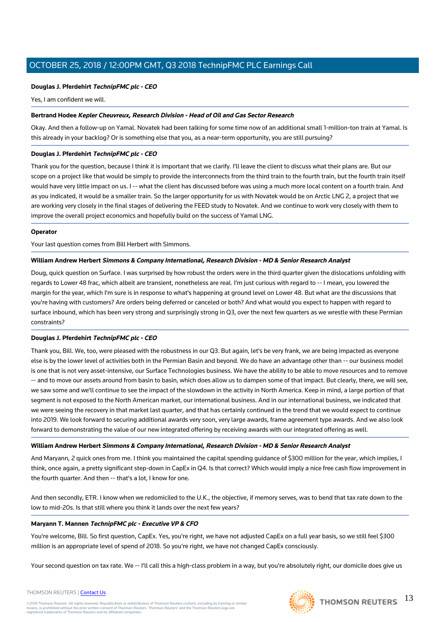## **Douglas J. Pferdehirt TechnipFMC plc - CEO**

Yes, I am confident we will.

#### **Bertrand Hodee Kepler Cheuvreux, Research Division - Head of Oil and Gas Sector Research**

Okay. And then a follow-up on Yamal. Novatek had been talking for some time now of an additional small 1-million-ton train at Yamal. Is this already in your backlog? Or is something else that you, as a near-term opportunity, you are still pursuing?

#### **Douglas J. Pferdehirt TechnipFMC plc - CEO**

Thank you for the question, because I think it is important that we clarify. I'll leave the client to discuss what their plans are. But our scope on a project like that would be simply to provide the interconnects from the third train to the fourth train, but the fourth train itself would have very little impact on us. I -- what the client has discussed before was using a much more local content on a fourth train. And as you indicated, it would be a smaller train. So the larger opportunity for us with Novatek would be on Arctic LNG 2, a project that we are working very closely in the final stages of delivering the FEED study to Novatek. And we continue to work very closely with them to improve the overall project economics and hopefully build on the success of Yamal LNG.

#### **Operator**

Your last question comes from Bill Herbert with Simmons.

#### **William Andrew Herbert Simmons & Company International, Research Division - MD & Senior Research Analyst**

Doug, quick question on Surface. I was surprised by how robust the orders were in the third quarter given the dislocations unfolding with regards to Lower 48 frac, which albeit are transient, nonetheless are real. I'm just curious with regard to -- I mean, you lowered the margin for the year, which I'm sure is in response to what's happening at ground level on Lower 48. But what are the discussions that you're having with customers? Are orders being deferred or canceled or both? And what would you expect to happen with regard to surface inbound, which has been very strong and surprisingly strong in Q3, over the next few quarters as we wrestle with these Permian constraints?

#### **Douglas J. Pferdehirt TechnipFMC plc - CEO**

Thank you, Bill. We, too, were pleased with the robustness in our Q3. But again, let's be very frank, we are being impacted as everyone else is by the lower level of activities both in the Permian Basin and beyond. We do have an advantage other than -- our business model is one that is not very asset-intensive, our Surface Technologies business. We have the ability to be able to move resources and to remove -- and to move our assets around from basin to basin, which does allow us to dampen some of that impact. But clearly, there, we will see, we saw some and we'll continue to see the impact of the slowdown in the activity in North America. Keep in mind, a large portion of that segment is not exposed to the North American market, our international business. And in our international business, we indicated that we were seeing the recovery in that market last quarter, and that has certainly continued in the trend that we would expect to continue into 2019. We look forward to securing additional awards very soon, very large awards, frame agreement type awards. And we also look forward to demonstrating the value of our new integrated offering by receiving awards with our integrated offering as well.

#### **William Andrew Herbert Simmons & Company International, Research Division - MD & Senior Research Analyst**

And Maryann, 2 quick ones from me. I think you maintained the capital spending guidance of \$300 million for the year, which implies, I think, once again, a pretty significant step-down in CapEx in Q4. Is that correct? Which would imply a nice free cash flow improvement in the fourth quarter. And then -- that's a lot, I know for one.

And then secondly, ETR. I know when we redomiciled to the U.K., the objective, if memory serves, was to bend that tax rate down to the low to mid-20s. Is that still where you think it lands over the next few years?

#### **Maryann T. Mannen TechnipFMC plc - Executive VP & CFO**

You're welcome, Bill. So first question, CapEx. Yes, you're right, we have not adjusted CapEx on a full year basis, so we still feel \$300 million is an appropriate level of spend of 2018. So you're right, we have not changed CapEx consciously.

Your second question on tax rate. We -- I'll call this a high-class problem in a way, but you're absolutely right, our domicile does give us



#### THOMSON REUTERS | [Contact Us](https://my.thomsonreuters.com/ContactUsNew)